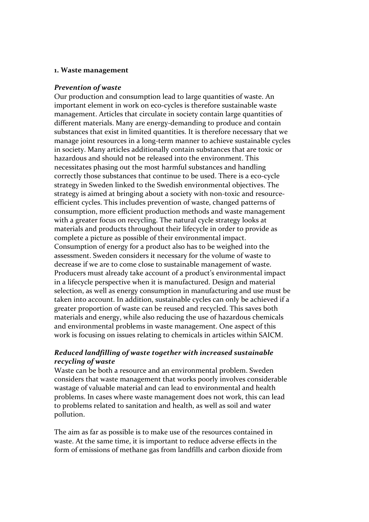#### **1. Waste management**

#### *Prevention of waste*

Our production and consumption lead to large quantities of waste. An important element in work on eco-cycles is therefore sustainable waste management. Articles that circulate in society contain large quantities of different materials. Many are energy-demanding to produce and contain substances that exist in limited quantities. It is therefore necessary that we manage joint resources in a long‐term manner to achieve sustainable cycles in society. Many articles additionally contain substances that are toxic or hazardous and should not be released into the environment. This necessitates phasing out the most harmful substances and handling correctly those substances that continue to be used. There is a eco-cycle strategy in Sweden linked to the Swedish environmental objectives. The strategy is aimed at bringing about a society with non-toxic and resourceefficient cycles. This includes prevention of waste, changed patterns of consumption, more efficient production methods and waste management with a greater focus on recycling. The natural cycle strategy looks at materials and products throughout their lifecycle in order to provide as complete a picture as possible of their environmental impact. Consumption of energy for a product also has to be weighed into the assessment. Sweden considers it necessary for the volume of waste to decrease if we are to come close to sustainable management of waste. Producers must already take account of a product's environmental impact in a lifecycle perspective when it is manufactured. Design and material selection, as well as energy consumption in manufacturing and use must be taken into account. In addition, sustainable cycles can only be achieved if a greater proportion of waste can be reused and recycled. This saves both materials and energy, while also reducing the use of hazardous chemicals and environmental problems in waste management. One aspect of this work is focusing on issues relating to chemicals in articles within SAICM.

#### *Reduced landfilling of waste together with increased sustainable recycling of waste*

Waste can be both a resource and an environmental problem. Sweden considers that waste management that works poorly involves considerable wastage of valuable material and can lead to environmental and health problems. In cases where waste management does not work, this can lead to problems related to sanitation and health, as well as soil and water pollution.

The aim as far as possible is to make use of the resources contained in waste. At the same time, it is important to reduce adverse effects in the form of emissions of methane gas from landfills and carbon dioxide from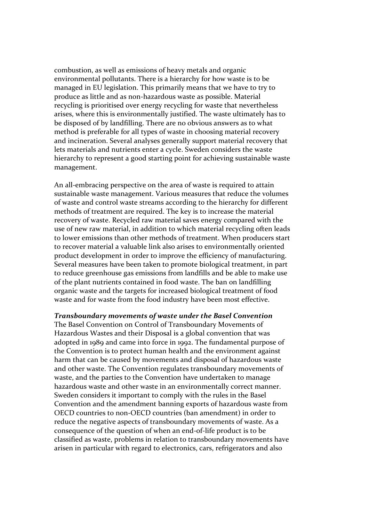combustion, as well as emissions of heavy metals and organic environmental pollutants. There is a hierarchy for how waste is to be managed in EU legislation. This primarily means that we have to try to produce as little and as non‐hazardous waste as possible. Material recycling is prioritised over energy recycling for waste that nevertheless arises, where this is environmentally justified. The waste ultimately has to be disposed of by landfilling. There are no obvious answers as to what method is preferable for all types of waste in choosing material recovery and incineration. Several analyses generally support material recovery that lets materials and nutrients enter a cycle. Sweden considers the waste hierarchy to represent a good starting point for achieving sustainable waste management.

An all-embracing perspective on the area of waste is required to attain sustainable waste management. Various measures that reduce the volumes of waste and control waste streams according to the hierarchy for different methods of treatment are required. The key is to increase the material recovery of waste. Recycled raw material saves energy compared with the use of new raw material, in addition to which material recycling often leads to lower emissions than other methods of treatment. When producers start to recover material a valuable link also arises to environmentally oriented product development in order to improve the efficiency of manufacturing. Several measures have been taken to promote biological treatment, in part to reduce greenhouse gas emissions from landfills and be able to make use of the plant nutrients contained in food waste. The ban on landfilling organic waste and the targets for increased biological treatment of food waste and for waste from the food industry have been most effective.

*Transboundary movements of waste under the Basel Convention* The Basel Convention on Control of Transboundary Movements of Hazardous Wastes and their Disposal is a global convention that was adopted in 1989 and came into force in 1992. The fundamental purpose of the Convention is to protect human health and the environment against harm that can be caused by movements and disposal of hazardous waste and other waste. The Convention regulates transboundary movements of waste, and the parties to the Convention have undertaken to manage hazardous waste and other waste in an environmentally correct manner. Sweden considers it important to comply with the rules in the Basel Convention and the amendment banning exports of hazardous waste from OECD countries to non‐OECD countries (ban amendment) in order to reduce the negative aspects of transboundary movements of waste. As a consequence of the question of when an end‐of‐life product is to be classified as waste, problems in relation to transboundary movements have arisen in particular with regard to electronics, cars, refrigerators and also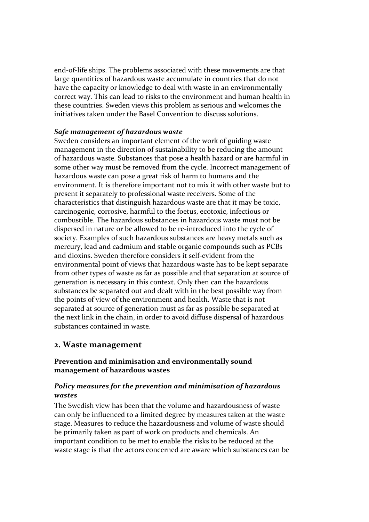end‐of‐life ships. The problems associated with these movements are that large quantities of hazardous waste accumulate in countries that do not have the capacity or knowledge to deal with waste in an environmentally correct way. This can lead to risks to the environment and human health in these countries. Sweden views this problem as serious and welcomes the initiatives taken under the Basel Convention to discuss solutions.

#### *Safe management of hazardous waste*

Sweden considers an important element of the work of guiding waste management in the direction of sustainability to be reducing the amount of hazardous waste. Substances that pose a health hazard or are harmful in some other way must be removed from the cycle. Incorrect management of hazardous waste can pose a great risk of harm to humans and the environment. It is therefore important not to mix it with other waste but to present it separately to professional waste receivers. Some of the characteristics that distinguish hazardous waste are that it may be toxic, carcinogenic, corrosive, harmful to the foetus, ecotoxic, infectious or combustible. The hazardous substances in hazardous waste must not be dispersed in nature or be allowed to be re‐introduced into the cycle of society. Examples of such hazardous substances are heavy metals such as mercury, lead and cadmium and stable organic compounds such as PCBs and dioxins. Sweden therefore considers it self‐evident from the environmental point of views that hazardous waste has to be kept separate from other types of waste as far as possible and that separation at source of generation is necessary in this context. Only then can the hazardous substances be separated out and dealt with in the best possible way from the points of view of the environment and health. Waste that is not separated at source of generation must as far as possible be separated at the next link in the chain, in order to avoid diffuse dispersal of hazardous substances contained in waste.

# **2. Waste management**

# **Prevention and minimisation and environmentally sound management of hazardous wastes**

## *Policy measures for the prevention and minimisation of hazardous wastes*

The Swedish view has been that the volume and hazardousness of waste can only be influenced to a limited degree by measures taken at the waste stage. Measures to reduce the hazardousness and volume of waste should be primarily taken as part of work on products and chemicals. An important condition to be met to enable the risks to be reduced at the waste stage is that the actors concerned are aware which substances can be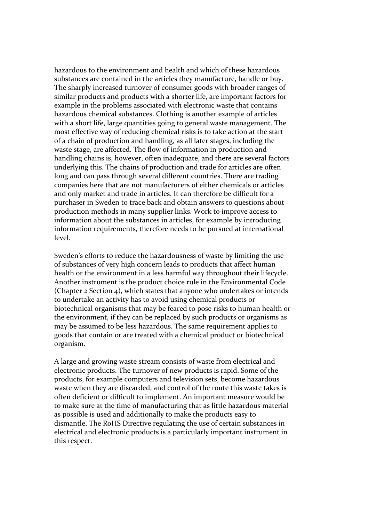hazardous to the environment and health and which of these hazardous substances are contained in the articles they manufacture, handle or buy. The sharply increased turnover of consumer goods with broader ranges of similar products and products with a shorter life, are important factors for example in the problems associated with electronic waste that contains hazardous chemical substances. Clothing is another example of articles with a short life, large quantities going to general waste management. The most effective way of reducing chemical risks is to take action at the start of a chain of production and handling, as all later stages, including the waste stage, are affected. The flow of information in production and handling chains is, however, often inadequate, and there are several factors underlying this. The chains of production and trade for articles are often long and can pass through several different countries. There are trading companies here that are not manufacturers of either chemicals or articles and only market and trade in articles. It can therefore be difficult for a purchaser in Sweden to trace back and obtain answers to questions about production methods in many supplier links. Work to improve access to information about the substances in articles, for example by introducing information requirements, therefore needs to be pursued at international level.

Sweden's efforts to reduce the hazardousness of waste by limiting the use of substances of very high concern leads to products that affect human health or the environment in a less harmful way throughout their lifecycle. Another instrument is the product choice rule in the Environmental Code (Chapter 2 Section 4), which states that anyone who undertakes or intends to undertake an activity has to avoid using chemical products or biotechnical organisms that may be feared to pose risks to human health or the environment, if they can be replaced by such products or organisms as may be assumed to be less hazardous. The same requirement applies to goods that contain or are treated with a chemical product or biotechnical organism.

A large and growing waste stream consists of waste from electrical and electronic products. The turnover of new products is rapid. Some of the products, for example computers and television sets, become hazardous waste when they are discarded, and control of the route this waste takes is often deficient or difficult to implement. An important measure would be to make sure at the time of manufacturing that as little hazardous material as possible is used and additionally to make the products easy to dismantle. The RoHS Directive regulating the use of certain substances in electrical and electronic products is a particularly important instrument in this respect.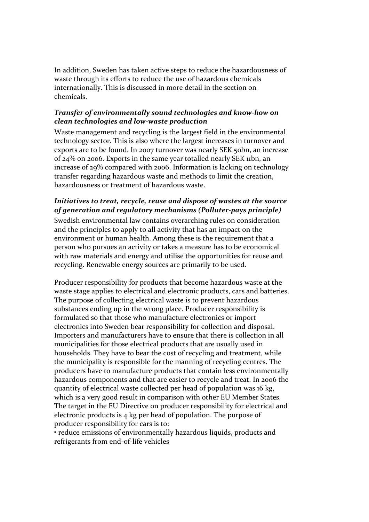In addition, Sweden has taken active steps to reduce the hazardousness of waste through its efforts to reduce the use of hazardous chemicals internationally. This is discussed in more detail in the section on chemicals.

## *Transfer of environmentally sound technologies and know‐how on clean technologies and low‐waste production*

Waste management and recycling is the largest field in the environmental technology sector. This is also where the largest increases in turnover and exports are to be found. In 2007 turnover was nearly SEK 50bn, an increase of 24% on 2006. Exports in the same year totalled nearly SEK 11bn, an increase of 29% compared with 2006. Information is lacking on technology transfer regarding hazardous waste and methods to limit the creation, hazardousness or treatment of hazardous waste.

## *Initiatives to treat, recycle, reuse and dispose of wastes at the source of generation and regulatory mechanisms (Polluter‐pays principle)*

Swedish environmental law contains overarching rules on consideration and the principles to apply to all activity that has an impact on the environment or human health. Among these is the requirement that a person who pursues an activity or takes a measure has to be economical with raw materials and energy and utilise the opportunities for reuse and recycling. Renewable energy sources are primarily to be used.

Producer responsibility for products that become hazardous waste at the waste stage applies to electrical and electronic products, cars and batteries. The purpose of collecting electrical waste is to prevent hazardous substances ending up in the wrong place. Producer responsibility is formulated so that those who manufacture electronics or import electronics into Sweden bear responsibility for collection and disposal. Importers and manufacturers have to ensure that there is collection in all municipalities for those electrical products that are usually used in households. They have to bear the cost of recycling and treatment, while the municipality is responsible for the manning of recycling centres. The producers have to manufacture products that contain less environmentally hazardous components and that are easier to recycle and treat. In 2006 the quantity of electrical waste collected per head of population was 16 kg, which is a very good result in comparison with other EU Member States. The target in the EU Directive on producer responsibility for electrical and electronic products is 4 kg per head of population. The purpose of producer responsibility for cars is to:

• reduce emissions of environmentally hazardous liquids, products and refrigerants from end‐of‐life vehicles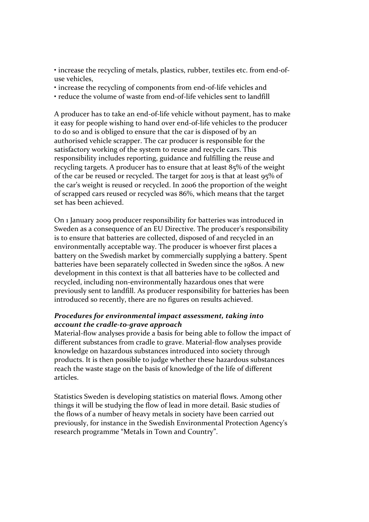• increase the recycling of metals, plastics, rubber, textiles etc. from end-ofuse vehicles,

- increase the recycling of components from end-of-life vehicles and
- reduce the volume of waste from end-of-life vehicles sent to landfill

A producer has to take an end‐of‐life vehicle without payment, has to make it easy for people wishing to hand over end‐of‐life vehicles to the producer to do so and is obliged to ensure that the car is disposed of by an authorised vehicle scrapper. The car producer is responsible for the satisfactory working of the system to reuse and recycle cars. This responsibility includes reporting, guidance and fulfilling the reuse and recycling targets. A producer has to ensure that at least 85% of the weight of the car be reused or recycled. The target for 2015 is that at least 95% of the car's weight is reused or recycled. In 2006 the proportion of the weight of scrapped cars reused or recycled was 86%, which means that the target set has been achieved.

On 1 January 2009 producer responsibility for batteries was introduced in Sweden as a consequence of an EU Directive. The producer's responsibility is to ensure that batteries are collected, disposed of and recycled in an environmentally acceptable way. The producer is whoever first places a battery on the Swedish market by commercially supplying a battery. Spent batteries have been separately collected in Sweden since the 1980s. A new development in this context is that all batteries have to be collected and recycled, including non‐environmentally hazardous ones that were previously sent to landfill. As producer responsibility for batteries has been introduced so recently, there are no figures on results achieved.

## *Procedures for environmental impact assessment, taking into account the cradle‐to‐grave approach*

Material‐flow analyses provide a basis for being able to follow the impact of different substances from cradle to grave. Material‐flow analyses provide knowledge on hazardous substances introduced into society through products. It is then possible to judge whether these hazardous substances reach the waste stage on the basis of knowledge of the life of different articles.

Statistics Sweden is developing statistics on material flows. Among other things it will be studying the flow of lead in more detail. Basic studies of the flows of a number of heavy metals in society have been carried out previously, for instance in the Swedish Environmental Protection Agency's research programme "Metals in Town and Country".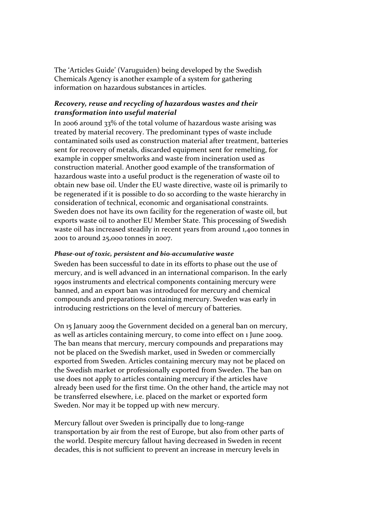The 'Articles Guide' (Varuguiden) being developed by the Swedish Chemicals Agency is another example of a system for gathering information on hazardous substances in articles.

## *Recovery, reuse and recycling of hazardous wastes and their transformation into useful material*

In 2006 around 33% of the total volume of hazardous waste arising was treated by material recovery. The predominant types of waste include contaminated soils used as construction material after treatment, batteries sent for recovery of metals, discarded equipment sent for remelting, for example in copper smeltworks and waste from incineration used as construction material. Another good example of the transformation of hazardous waste into a useful product is the regeneration of waste oil to obtain new base oil. Under the EU waste directive, waste oil is primarily to be regenerated if it is possible to do so according to the waste hierarchy in consideration of technical, economic and organisational constraints. Sweden does not have its own facility for the regeneration of waste oil, but exports waste oil to another EU Member State. This processing of Swedish waste oil has increased steadily in recent years from around 1,400 tonnes in 2001 to around 25,000 tonnes in 2007.

#### *Phase‐out of toxic, persistent and bio‐accumulative waste*

Sweden has been successful to date in its efforts to phase out the use of mercury, and is well advanced in an international comparison. In the early 1990s instruments and electrical components containing mercury were banned, and an export ban was introduced for mercury and chemical compounds and preparations containing mercury. Sweden was early in introducing restrictions on the level of mercury of batteries.

On 15 January 2009 the Government decided on a general ban on mercury, as well as articles containing mercury, to come into effect on 1 June 2009. The ban means that mercury, mercury compounds and preparations may not be placed on the Swedish market, used in Sweden or commercially exported from Sweden. Articles containing mercury may not be placed on the Swedish market or professionally exported from Sweden. The ban on use does not apply to articles containing mercury if the articles have already been used for the first time. On the other hand, the article may not be transferred elsewhere, i.e. placed on the market or exported form Sweden. Nor may it be topped up with new mercury.

Mercury fallout over Sweden is principally due to long-range transportation by air from the rest of Europe, but also from other parts of the world. Despite mercury fallout having decreased in Sweden in recent decades, this is not sufficient to prevent an increase in mercury levels in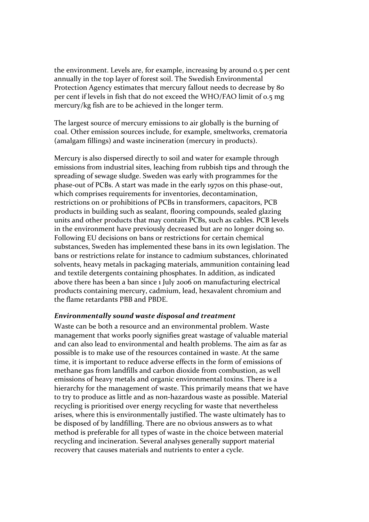the environment. Levels are, for example, increasing by around 0.5 per cent annually in the top layer of forest soil. The Swedish Environmental Protection Agency estimates that mercury fallout needs to decrease by 80 per cent if levels in fish that do not exceed the WHO/FAO limit of 0.5 mg mercury/kg fish are to be achieved in the longer term.

The largest source of mercury emissions to air globally is the burning of coal. Other emission sources include, for example, smeltworks, crematoria (amalgam fillings) and waste incineration (mercury in products).

Mercury is also dispersed directly to soil and water for example through emissions from industrial sites, leaching from rubbish tips and through the spreading of sewage sludge. Sweden was early with programmes for the phase‐out of PCBs. A start was made in the early 1970s on this phase‐out, which comprises requirements for inventories, decontamination, restrictions on or prohibitions of PCBs in transformers, capacitors, PCB products in building such as sealant, flooring compounds, sealed glazing units and other products that may contain PCBs, such as cables. PCB levels in the environment have previously decreased but are no longer doing so. Following EU decisions on bans or restrictions for certain chemical substances, Sweden has implemented these bans in its own legislation. The bans or restrictions relate for instance to cadmium substances, chlorinated solvents, heavy metals in packaging materials, ammunition containing lead and textile detergents containing phosphates. In addition, as indicated above there has been a ban since 1 July 2006 on manufacturing electrical products containing mercury, cadmium, lead, hexavalent chromium and the flame retardants PBB and PBDE.

#### *Environmentally sound waste disposal and treatment*

Waste can be both a resource and an environmental problem. Waste management that works poorly signifies great wastage of valuable material and can also lead to environmental and health problems. The aim as far as possible is to make use of the resources contained in waste. At the same time, it is important to reduce adverse effects in the form of emissions of methane gas from landfills and carbon dioxide from combustion, as well emissions of heavy metals and organic environmental toxins. There is a hierarchy for the management of waste. This primarily means that we have to try to produce as little and as non‐hazardous waste as possible. Material recycling is prioritised over energy recycling for waste that nevertheless arises, where this is environmentally justified. The waste ultimately has to be disposed of by landfilling. There are no obvious answers as to what method is preferable for all types of waste in the choice between material recycling and incineration. Several analyses generally support material recovery that causes materials and nutrients to enter a cycle.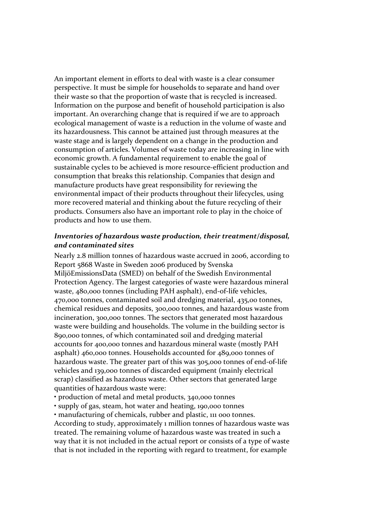An important element in efforts to deal with waste is a clear consumer perspective. It must be simple for households to separate and hand over their waste so that the proportion of waste that is recycled is increased. Information on the purpose and benefit of household participation is also important. An overarching change that is required if we are to approach ecological management of waste is a reduction in the volume of waste and its hazardousness. This cannot be attained just through measures at the waste stage and is largely dependent on a change in the production and consumption of articles. Volumes of waste today are increasing in line with economic growth. A fundamental requirement to enable the goal of sustainable cycles to be achieved is more resource-efficient production and consumption that breaks this relationship. Companies that design and manufacture products have great responsibility for reviewing the environmental impact of their products throughout their lifecycles, using more recovered material and thinking about the future recycling of their products. Consumers also have an important role to play in the choice of products and how to use them.

#### *Inventories of hazardous waste production, their treatment/disposal, and contaminated sites*

Nearly 2.8 million tonnes of hazardous waste accrued in 2006, according to Report 5868 Waste in Sweden 2006 produced by Svenska MiljöEmissionsData (SMED) on behalf of the Swedish Environmental Protection Agency. The largest categories of waste were hazardous mineral waste, 480,000 tonnes (including PAH asphalt), end-of-life vehicles, 470,000 tonnes, contaminated soil and dredging material, 435,00 tonnes, chemical residues and deposits, 300,000 tonnes, and hazardous waste from incineration, 300,000 tonnes. The sectors that generated most hazardous waste were building and households. The volume in the building sector is 890,000 tonnes, of which contaminated soil and dredging material accounts for 400,000 tonnes and hazardous mineral waste (mostly PAH asphalt) 460,000 tonnes. Households accounted for 489,000 tonnes of hazardous waste. The greater part of this was 305,000 tonnes of end-of-life vehicles and 139,000 tonnes of discarded equipment (mainly electrical scrap) classified as hazardous waste. Other sectors that generated large quantities of hazardous waste were:

• production of metal and metal products, 340,000 tonnes

• supply of gas, steam, hot water and heating, 190,000 tonnes

• manufacturing of chemicals, rubber and plastic, 111 000 tonnes.

According to study, approximately 1 million tonnes of hazardous waste was treated. The remaining volume of hazardous waste was treated in such a way that it is not included in the actual report or consists of a type of waste that is not included in the reporting with regard to treatment, for example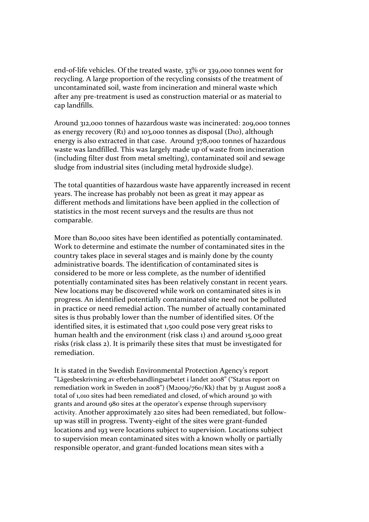end‐of‐life vehicles. Of the treated waste, 33% or 339,000 tonnes went for recycling. A large proportion of the recycling consists of the treatment of uncontaminated soil, waste from incineration and mineral waste which after any pre‐treatment is used as construction material or as material to cap landfills.

Around 312,000 tonnes of hazardous waste was incinerated: 209,000 tonnes as energy recovery (R1) and 103,000 tonnes as disposal (D10), although energy is also extracted in that case. Around 378,000 tonnes of hazardous waste was landfilled. This was largely made up of waste from incineration (including filter dust from metal smelting), contaminated soil and sewage sludge from industrial sites (including metal hydroxide sludge).

The total quantities of hazardous waste have apparently increased in recent years. The increase has probably not been as great it may appear as different methods and limitations have been applied in the collection of statistics in the most recent surveys and the results are thus not comparable.

More than 80,000 sites have been identified as potentially contaminated. Work to determine and estimate the number of contaminated sites in the country takes place in several stages and is mainly done by the county administrative boards. The identification of contaminated sites is considered to be more or less complete, as the number of identified potentially contaminated sites has been relatively constant in recent years. New locations may be discovered while work on contaminated sites is in progress. An identified potentially contaminated site need not be polluted in practice or need remedial action. The number of actually contaminated sites is thus probably lower than the number of identified sites. Of the identified sites, it is estimated that 1,500 could pose very great risks to human health and the environment (risk class 1) and around 15,000 great risks (risk class 2). It is primarily these sites that must be investigated for remediation.

It is stated in the Swedish Environmental Protection Agency's report "Lägesbeskrivning av efterbehandlingsarbetet i landet 2008" ("Status report on remediation work in Sweden in 2008") (M2009/760/Kk) that by 31 August 2008 a total of 1,010 sites had been remediated and closed, of which around 30 with grants and around 980 sites at the operator's expense through supervisory activity. Another approximately 220 sites had been remediated, but follow‐ up was still in progress. Twenty‐eight of the sites were grant‐funded locations and 193 were locations subject to supervision. Locations subject to supervision mean contaminated sites with a known wholly or partially responsible operator, and grant‐funded locations mean sites with a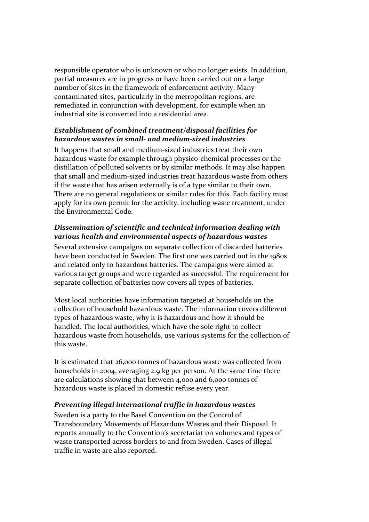responsible operator who is unknown or who no longer exists. In addition, partial measures are in progress or have been carried out on a large number of sites in the framework of enforcement activity. Many contaminated sites, particularly in the metropolitan regions, are remediated in conjunction with development, for example when an industrial site is converted into a residential area.

# *Establishment of combined treatment/disposal facilities for hazardous wastes in small‐ and medium‐sized industries*

It happens that small and medium‐sized industries treat their own hazardous waste for example through physico‐chemical processes or the distillation of polluted solvents or by similar methods. It may also happen that small and medium‐sized industries treat hazardous waste from others if the waste that has arisen externally is of a type similar to their own. There are no general regulations or similar rules for this. Each facility must apply for its own permit for the activity, including waste treatment, under the Environmental Code.

# *Dissemination of scientific and technical information dealing with various health and environmental aspects of hazardous wastes*

Several extensive campaigns on separate collection of discarded batteries have been conducted in Sweden. The first one was carried out in the 1980s and related only to hazardous batteries. The campaigns were aimed at various target groups and were regarded as successful. The requirement for separate collection of batteries now covers all types of batteries.

Most local authorities have information targeted at households on the collection of household hazardous waste. The information covers different types of hazardous waste, why it is hazardous and how it should be handled. The local authorities, which have the sole right to collect hazardous waste from households, use various systems for the collection of this waste.

It is estimated that 26,000 tonnes of hazardous waste was collected from households in 2004, averaging 2.9 kg per person. At the same time there are calculations showing that between 4,000 and 6,000 tonnes of hazardous waste is placed in domestic refuse every year.

# *Preventing illegal international traffic in hazardous wastes*

Sweden is a party to the Basel Convention on the Control of Transboundary Movements of Hazardous Wastes and their Disposal. It reports annually to the Convention's secretariat on volumes and types of waste transported across borders to and from Sweden. Cases of illegal traffic in waste are also reported.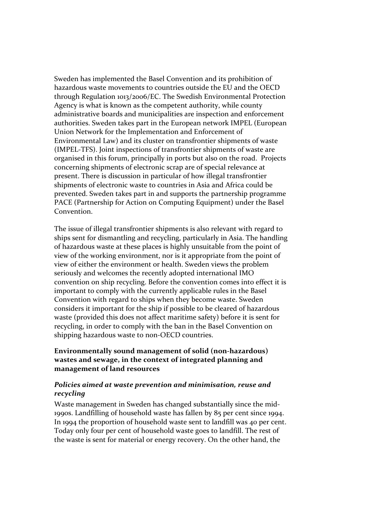Sweden has implemented the Basel Convention and its prohibition of hazardous waste movements to countries outside the EU and the OECD through Regulation 1013/2006/EC. The Swedish Environmental Protection Agency is what is known as the competent authority, while county administrative boards and municipalities are inspection and enforcement authorities. Sweden takes part in the European network IMPEL (European Union Network for the Implementation and Enforcement of Environmental Law) and its cluster on transfrontier shipments of waste (IMPEL‐TFS). Joint inspections of transfrontier shipments of waste are organised in this forum, principally in ports but also on the road. Projects concerning shipments of electronic scrap are of special relevance at present. There is discussion in particular of how illegal transfrontier shipments of electronic waste to countries in Asia and Africa could be prevented. Sweden takes part in and supports the partnership programme PACE (Partnership for Action on Computing Equipment) under the Basel Convention.

The issue of illegal transfrontier shipments is also relevant with regard to ships sent for dismantling and recycling, particularly in Asia. The handling of hazardous waste at these places is highly unsuitable from the point of view of the working environment, nor is it appropriate from the point of view of either the environment or health. Sweden views the problem seriously and welcomes the recently adopted international IMO convention on ship recycling. Before the convention comes into effect it is important to comply with the currently applicable rules in the Basel Convention with regard to ships when they become waste. Sweden considers it important for the ship if possible to be cleared of hazardous waste (provided this does not affect maritime safety) before it is sent for recycling, in order to comply with the ban in the Basel Convention on shipping hazardous waste to non‐OECD countries.

## **Environmentally sound management of solid (non‐hazardous) wastes and sewage, in the context of integrated planning and management of land resources**

## *Policies aimed at waste prevention and minimisation, reuse and recycling*

Waste management in Sweden has changed substantially since the mid-1990s. Landfilling of household waste has fallen by 85 per cent since 1994. In 1994 the proportion of household waste sent to landfill was 40 per cent. Today only four per cent of household waste goes to landfill. The rest of the waste is sent for material or energy recovery. On the other hand, the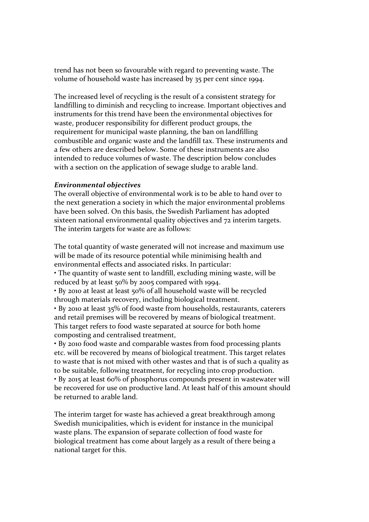trend has not been so favourable with regard to preventing waste. The volume of household waste has increased by 35 per cent since 1994.

The increased level of recycling is the result of a consistent strategy for landfilling to diminish and recycling to increase. Important objectives and instruments for this trend have been the environmental objectives for waste, producer responsibility for different product groups, the requirement for municipal waste planning, the ban on landfilling combustible and organic waste and the landfill tax. These instruments and a few others are described below. Some of these instruments are also intended to reduce volumes of waste. The description below concludes with a section on the application of sewage sludge to arable land.

#### *Environmental objectives*

The overall objective of environmental work is to be able to hand over to the next generation a society in which the major environmental problems have been solved. On this basis, the Swedish Parliament has adopted sixteen national environmental quality objectives and 72 interim targets. The interim targets for waste are as follows:

The total quantity of waste generated will not increase and maximum use will be made of its resource potential while minimising health and environmental effects and associated risks. In particular:

• The quantity of waste sent to landfill, excluding mining waste, will be reduced by at least 50% by 2005 compared with 1994.

• By 2010 at least at least 50% of all household waste will be recycled through materials recovery, including biological treatment.

• By 2010 at least 35% of food waste from households, restaurants, caterers and retail premises will be recovered by means of biological treatment. This target refers to food waste separated at source for both home composting and centralised treatment,

• By 2010 food waste and comparable wastes from food processing plants etc. will be recovered by means of biological treatment. This target relates to waste that is not mixed with other wastes and that is of such a quality as to be suitable, following treatment, for recycling into crop production. • By 2015 at least 60% of phosphorus compounds present in wastewater will be recovered for use on productive land. At least half of this amount should

be returned to arable land.

The interim target for waste has achieved a great breakthrough among Swedish municipalities, which is evident for instance in the municipal waste plans. The expansion of separate collection of food waste for biological treatment has come about largely as a result of there being a national target for this.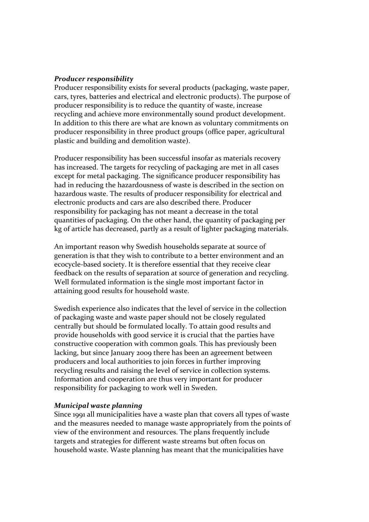#### *Producer responsibility*

Producer responsibility exists for several products (packaging, waste paper, cars, tyres, batteries and electrical and electronic products). The purpose of producer responsibility is to reduce the quantity of waste, increase recycling and achieve more environmentally sound product development. In addition to this there are what are known as voluntary commitments on producer responsibility in three product groups (office paper, agricultural plastic and building and demolition waste).

Producer responsibility has been successful insofar as materials recovery has increased. The targets for recycling of packaging are met in all cases except for metal packaging. The significance producer responsibility has had in reducing the hazardousness of waste is described in the section on hazardous waste. The results of producer responsibility for electrical and electronic products and cars are also described there. Producer responsibility for packaging has not meant a decrease in the total quantities of packaging. On the other hand, the quantity of packaging per kg of article has decreased, partly as a result of lighter packaging materials.

An important reason why Swedish households separate at source of generation is that they wish to contribute to a better environment and an ecocycle‐based society. It is therefore essential that they receive clear feedback on the results of separation at source of generation and recycling. Well formulated information is the single most important factor in attaining good results for household waste.

Swedish experience also indicates that the level of service in the collection of packaging waste and waste paper should not be closely regulated centrally but should be formulated locally. To attain good results and provide households with good service it is crucial that the parties have constructive cooperation with common goals. This has previously been lacking, but since January 2009 there has been an agreement between producers and local authorities to join forces in further improving recycling results and raising the level of service in collection systems. Information and cooperation are thus very important for producer responsibility for packaging to work well in Sweden.

#### *Municipal waste planning*

Since 1991 all municipalities have a waste plan that covers all types of waste and the measures needed to manage waste appropriately from the points of view of the environment and resources. The plans frequently include targets and strategies for different waste streams but often focus on household waste. Waste planning has meant that the municipalities have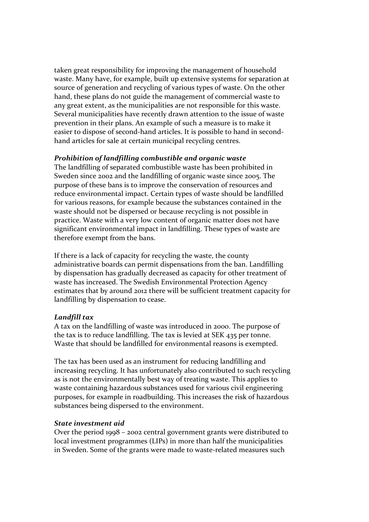taken great responsibility for improving the management of household waste. Many have, for example, built up extensive systems for separation at source of generation and recycling of various types of waste. On the other hand, these plans do not guide the management of commercial waste to any great extent, as the municipalities are not responsible for this waste. Several municipalities have recently drawn attention to the issue of waste prevention in their plans. An example of such a measure is to make it easier to dispose of second-hand articles. It is possible to hand in secondhand articles for sale at certain municipal recycling centres.

#### *Prohibition of landfilling combustible and organic waste*

The landfilling of separated combustible waste has been prohibited in Sweden since 2002 and the landfilling of organic waste since 2005. The purpose of these bans is to improve the conservation of resources and reduce environmental impact. Certain types of waste should be landfilled for various reasons, for example because the substances contained in the waste should not be dispersed or because recycling is not possible in practice. Waste with a very low content of organic matter does not have significant environmental impact in landfilling. These types of waste are therefore exempt from the bans.

If there is a lack of capacity for recycling the waste, the county administrative boards can permit dispensations from the ban. Landfilling by dispensation has gradually decreased as capacity for other treatment of waste has increased. The Swedish Environmental Protection Agency estimates that by around 2012 there will be sufficient treatment capacity for landfilling by dispensation to cease.

## *Landfill tax*

A tax on the landfilling of waste was introduced in 2000. The purpose of the tax is to reduce landfilling. The tax is levied at SEK 435 per tonne. Waste that should be landfilled for environmental reasons is exempted.

The tax has been used as an instrument for reducing landfilling and increasing recycling. It has unfortunately also contributed to such recycling as is not the environmentally best way of treating waste. This applies to waste containing hazardous substances used for various civil engineering purposes, for example in roadbuilding. This increases the risk of hazardous substances being dispersed to the environment.

## *State investment aid*

Over the period 1998 – 2002 central government grants were distributed to local investment programmes (LIPs) in more than half the municipalities in Sweden. Some of the grants were made to waste-related measures such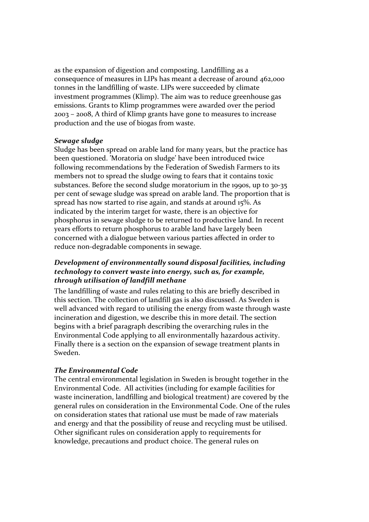as the expansion of digestion and composting. Landfilling as a consequence of measures in LIPs has meant a decrease of around 462,000 tonnes in the landfilling of waste. LIPs were succeeded by climate investment programmes (Klimp). The aim was to reduce greenhouse gas emissions. Grants to Klimp programmes were awarded over the period 2003 – 2008, A third of Klimp grants have gone to measures to increase production and the use of biogas from waste.

#### *Sewage sludge*

Sludge has been spread on arable land for many years, but the practice has been questioned. 'Moratoria on sludge' have been introduced twice following recommendations by the Federation of Swedish Farmers to its members not to spread the sludge owing to fears that it contains toxic substances. Before the second sludge moratorium in the 1990s, up to 30‐35 per cent of sewage sludge was spread on arable land. The proportion that is spread has now started to rise again, and stands at around 15%. As indicated by the interim target for waste, there is an objective for phosphorus in sewage sludge to be returned to productive land. In recent years efforts to return phosphorus to arable land have largely been concerned with a dialogue between various parties affected in order to reduce non‐degradable components in sewage.

# *Development of environmentally sound disposal facilities, including technology to convert waste into energy, such as, for example, through utilisation of landfill methane*

The landfilling of waste and rules relating to this are briefly described in this section. The collection of landfill gas is also discussed. As Sweden is well advanced with regard to utilising the energy from waste through waste incineration and digestion, we describe this in more detail. The section begins with a brief paragraph describing the overarching rules in the Environmental Code applying to all environmentally hazardous activity. Finally there is a section on the expansion of sewage treatment plants in Sweden.

## *The Environmental Code*

The central environmental legislation in Sweden is brought together in the Environmental Code. All activities (including for example facilities for waste incineration, landfilling and biological treatment) are covered by the general rules on consideration in the Environmental Code. One of the rules on consideration states that rational use must be made of raw materials and energy and that the possibility of reuse and recycling must be utilised. Other significant rules on consideration apply to requirements for knowledge, precautions and product choice. The general rules on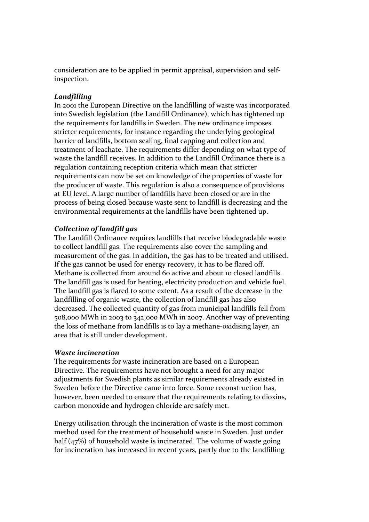consideration are to be applied in permit appraisal, supervision and self‐ inspection.

# *Landfilling*

In 2001 the European Directive on the landfilling of waste was incorporated into Swedish legislation (the Landfill Ordinance), which has tightened up the requirements for landfills in Sweden. The new ordinance imposes stricter requirements, for instance regarding the underlying geological barrier of landfills, bottom sealing, final capping and collection and treatment of leachate. The requirements differ depending on what type of waste the landfill receives. In addition to the Landfill Ordinance there is a regulation containing reception criteria which mean that stricter requirements can now be set on knowledge of the properties of waste for the producer of waste. This regulation is also a consequence of provisions at EU level. A large number of landfills have been closed or are in the process of being closed because waste sent to landfill is decreasing and the environmental requirements at the landfills have been tightened up.

## *Collection of landfill gas*

The Landfill Ordinance requires landfills that receive biodegradable waste to collect landfill gas. The requirements also cover the sampling and measurement of the gas. In addition, the gas has to be treated and utilised. If the gas cannot be used for energy recovery, it has to be flared off. Methane is collected from around 60 active and about 10 closed landfills. The landfill gas is used for heating, electricity production and vehicle fuel. The landfill gas is flared to some extent. As a result of the decrease in the landfilling of organic waste, the collection of landfill gas has also decreased. The collected quantity of gas from municipal landfills fell from 508,000 MWh in 2003 to 342,000 MWh in 2007. Another way of preventing the loss of methane from landfills is to lay a methane‐oxidising layer, an area that is still under development.

## *Waste incineration*

The requirements for waste incineration are based on a European Directive. The requirements have not brought a need for any major adjustments for Swedish plants as similar requirements already existed in Sweden before the Directive came into force. Some reconstruction has, however, been needed to ensure that the requirements relating to dioxins, carbon monoxide and hydrogen chloride are safely met.

Energy utilisation through the incineration of waste is the most common method used for the treatment of household waste in Sweden. Just under half (47%) of household waste is incinerated. The volume of waste going for incineration has increased in recent years, partly due to the landfilling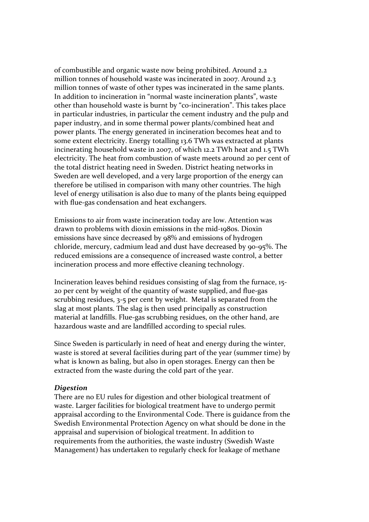of combustible and organic waste now being prohibited. Around 2.2 million tonnes of household waste was incinerated in 2007. Around 2.3 million tonnes of waste of other types was incinerated in the same plants. In addition to incineration in "normal waste incineration plants", waste other than household waste is burnt by "co‐incineration". This takes place in particular industries, in particular the cement industry and the pulp and paper industry, and in some thermal power plants/combined heat and power plants. The energy generated in incineration becomes heat and to some extent electricity. Energy totalling 13.6 TWh was extracted at plants incinerating household waste in 2007, of which 12.2 TWh heat and 1.5 TWh electricity. The heat from combustion of waste meets around 20 per cent of the total district heating need in Sweden. District heating networks in Sweden are well developed, and a very large proportion of the energy can therefore be utilised in comparison with many other countries. The high level of energy utilisation is also due to many of the plants being equipped with flue-gas condensation and heat exchangers.

Emissions to air from waste incineration today are low. Attention was drawn to problems with dioxin emissions in the mid‐1980s. Dioxin emissions have since decreased by 98% and emissions of hydrogen chloride, mercury, cadmium lead and dust have decreased by 90‐95%. The reduced emissions are a consequence of increased waste control, a better incineration process and more effective cleaning technology.

Incineration leaves behind residues consisting of slag from the furnace, 15‐ 20 per cent by weight of the quantity of waste supplied, and flue‐gas scrubbing residues, 3-5 per cent by weight. Metal is separated from the slag at most plants. The slag is then used principally as construction material at landfills. Flue‐gas scrubbing residues, on the other hand, are hazardous waste and are landfilled according to special rules.

Since Sweden is particularly in need of heat and energy during the winter, waste is stored at several facilities during part of the year (summer time) by what is known as baling, but also in open storages. Energy can then be extracted from the waste during the cold part of the year.

#### *Digestion*

There are no EU rules for digestion and other biological treatment of waste. Larger facilities for biological treatment have to undergo permit appraisal according to the Environmental Code. There is guidance from the Swedish Environmental Protection Agency on what should be done in the appraisal and supervision of biological treatment. In addition to requirements from the authorities, the waste industry (Swedish Waste Management) has undertaken to regularly check for leakage of methane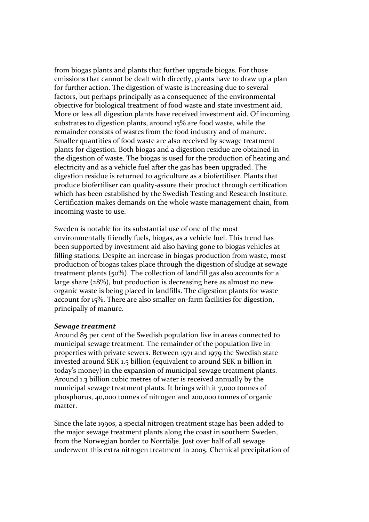from biogas plants and plants that further upgrade biogas. For those emissions that cannot be dealt with directly, plants have to draw up a plan for further action. The digestion of waste is increasing due to several factors, but perhaps principally as a consequence of the environmental objective for biological treatment of food waste and state investment aid. More or less all digestion plants have received investment aid. Of incoming substrates to digestion plants, around 15% are food waste, while the remainder consists of wastes from the food industry and of manure. Smaller quantities of food waste are also received by sewage treatment plants for digestion. Both biogas and a digestion residue are obtained in the digestion of waste. The biogas is used for the production of heating and electricity and as a vehicle fuel after the gas has been upgraded. The digestion residue is returned to agriculture as a biofertiliser. Plants that produce biofertiliser can quality‐assure their product through certification which has been established by the Swedish Testing and Research Institute. Certification makes demands on the whole waste management chain, from incoming waste to use.

Sweden is notable for its substantial use of one of the most environmentally friendly fuels, biogas, as a vehicle fuel. This trend has been supported by investment aid also having gone to biogas vehicles at filling stations. Despite an increase in biogas production from waste, most production of biogas takes place through the digestion of sludge at sewage treatment plants (50%). The collection of landfill gas also accounts for a large share (28%), but production is decreasing here as almost no new organic waste is being placed in landfills. The digestion plants for waste account for 15%. There are also smaller on‐farm facilities for digestion, principally of manure.

#### *Sewage treatment*

Around 85 per cent of the Swedish population live in areas connected to municipal sewage treatment. The remainder of the population live in properties with private sewers. Between 1971 and 1979 the Swedish state invested around SEK 1.5 billion (equivalent to around SEK 11 billion in today's money) in the expansion of municipal sewage treatment plants. Around 1.3 billion cubic metres of water is received annually by the municipal sewage treatment plants. It brings with it 7,000 tonnes of phosphorus, 40,000 tonnes of nitrogen and 200,000 tonnes of organic matter.

Since the late 1990s, a special nitrogen treatment stage has been added to the major sewage treatment plants along the coast in southern Sweden, from the Norwegian border to Norrtälje. Just over half of all sewage underwent this extra nitrogen treatment in 2005. Chemical precipitation of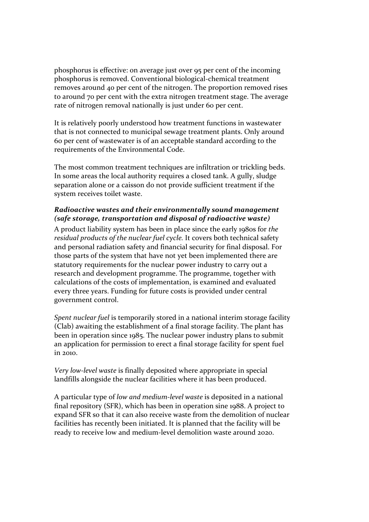phosphorus is effective: on average just over 95 per cent of the incoming phosphorus is removed. Conventional biological‐chemical treatment removes around 40 per cent of the nitrogen. The proportion removed rises to around 70 per cent with the extra nitrogen treatment stage. The average rate of nitrogen removal nationally is just under 60 per cent.

It is relatively poorly understood how treatment functions in wastewater that is not connected to municipal sewage treatment plants. Only around 60 per cent of wastewater is of an acceptable standard according to the requirements of the Environmental Code.

The most common treatment techniques are infiltration or trickling beds. In some areas the local authority requires a closed tank. A gully, sludge separation alone or a caisson do not provide sufficient treatment if the system receives toilet waste.

## *Radioactive wastes and their environmentally sound management (safe storage, transportation and disposal of radioactive waste)*

A product liability system has been in place since the early 1980s for *the residual products of the nuclear fuel cycle.* It covers both technical safety and personal radiation safety and financial security for final disposal. For those parts of the system that have not yet been implemented there are statutory requirements for the nuclear power industry to carry out a research and development programme. The programme, together with calculations of the costs of implementation, is examined and evaluated every three years. Funding for future costs is provided under central government control.

*Spent nuclear fuel* is temporarily stored in a national interim storage facility (Clab) awaiting the establishment of a final storage facility. The plant has been in operation since 1985. The nuclear power industry plans to submit an application for permission to erect a final storage facility for spent fuel in 2010.

*Very low‐level waste* is finally deposited where appropriate in special landfills alongside the nuclear facilities where it has been produced.

A particular type of *low and medium‐level waste* is deposited in a national final repository (SFR), which has been in operation sine 1988. A project to expand SFR so that it can also receive waste from the demolition of nuclear facilities has recently been initiated. It is planned that the facility will be ready to receive low and medium‐level demolition waste around 2020.